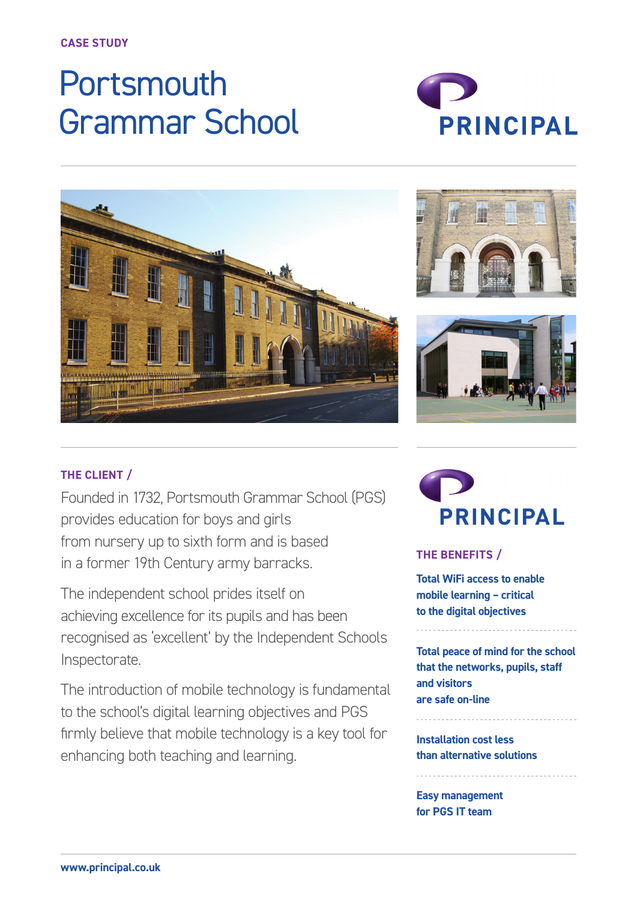**CASE STUDY**

# **Portsmouth** Grammar School









# **THE CLIENT /**

Founded in 1732, Portsmouth Grammar School (PGS) provides education for boys and girls from nursery up to sixth form and is based in a former 19th Century army barracks.

The independent school prides itself on achieving excellence for its pupils and has been recognised as 'excellent' by the Independent Schools Inspectorate.

The introduction of mobile technology is fundamental to the school's digital learning objectives and PGS firmly believe that mobile technology is a key tool for enhancing both teaching and learning.



## **THE BENEFITS /**

**Total WiFi access to enable mobile learning – critical to the digital objectives**

**Total peace of mind for the school that the networks, pupils, staff and visitors are safe on-line**

**Installation cost less than alternative solutions**

**Easy management for PGS IT team**